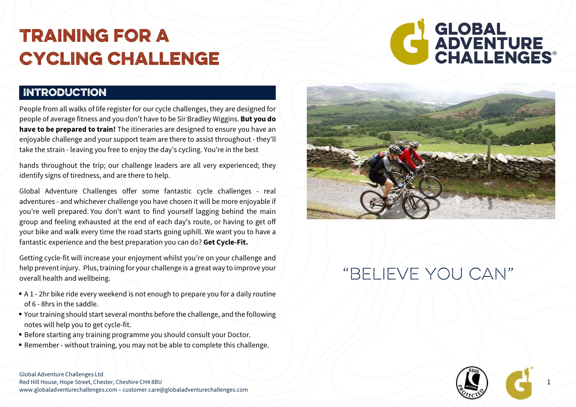#### **INTRODUCTION**

 People from all walks of life register for our cycle challenges, they are designed for people of average fitness and you don't have to be Sir Bradley Wiggins. But you do have to be prepared to train! The itineraries are designed to ensure you have an enjoyable challenge and your support team are there to assist throughout - they'll take the strain - leaving you free to enjoy the day's cycling. You're in the best

hands throughout the trip; our challenge leaders are all very experienced; they identify signs of tiredness, and are there to help.

Global Adventure Challenges offer some fantastic cycle challenges - real adventures - and whichever challenge you have chosen it will be more enjoyable if you're well prepared. You don't want to find yourself lagging behind the main group and feeling exhausted at the end of each day's route, or having to get off your bike and walk every time the road starts going uphill. We want you to have a fantastic experience and the best preparation you can do? Get Cycle-Fit.

Getting cycle-fit will increase your enjoyment whilst you're on your challenge and help prevent injury. Plus, training for your challenge is a great way to improve your overall health and wellbeing.

- $\bullet$  A 1 2hr bike ride every weekend is not enough to prepare you for a daily routine of 6 - 8hrs in the saddle.
- Your training should start several months before the challenge, and the following notes will help you to get cycle-fit.
- Before starting any training programme you should consult your Doctor.
- Remember without training, you may not be able to complete this challenge.

# SLOBAL<br>ADVENTURE<br>CHALLENGES®



# "Believe you can"



1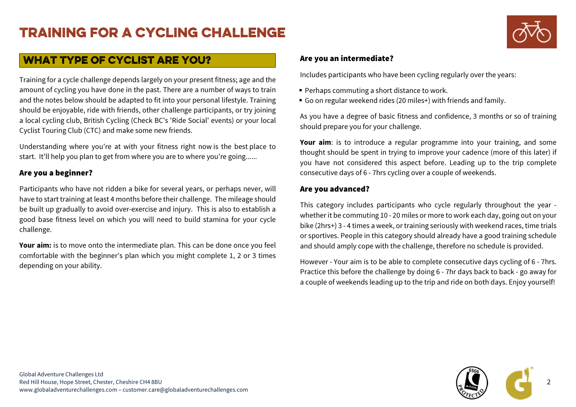

#### What type of cyclist are you?

Training for a cycle challenge depends largely on your present fitness; age and the amount of cycling you have done in the past. There are a number of ways to train and the notes below should be adapted to fit into your personal lifestyle. Training should be enjoyable, ride with friends, other challenge participants, or try joining a local cycling club, British Cycling (Check BC's 'Ride Social' events) or your local Cyclist Touring Club (CTC) and make some new friends.

Understanding where you're at with your fitness right now is the best place to start. It'll help you plan to get from where you are to where you're going......

#### Are you a beginner?

Participants who have not ridden a bike for several years, or perhaps never, will have to start training at least 4 months before their challenge. The mileage should be built up gradually to avoid over-exercise and injury. This is also to establish a good base fitness level on which you will need to build stamina for your cycle challenge.

Your aim: is to move onto the intermediate plan. This can be done once you feel comfortable with the beginner's plan which you might complete 1, 2 or 3 times depending on your ability.

#### Are you an intermediate?

Includes participants who have been cycling regularly over the years:

- $\;\;\bar{}\;$  Perhaps commuting a short distance to work.
- Go on regular weekend rides (20 miles+) with friends and family.

As you have a degree of basic fitness and confidence, 3 months or so of training should prepare you for your challenge.

Your aim: is to introduce a regular programme into your training, and some thought should be spent in trying to improve your cadence (more of this later) if you have not considered this aspect before. Leading up to the trip complete consecutive days of 6 - 7hrs cycling over a couple of weekends.

#### Are you advanced?

This category includes participants who cycle regularly throughout the year whether it be commuting 10 - 20 miles or more to work each day, going out on your bike (2hrs+) 3 - 4 times a week, or training seriously with weekend races, time trials or sportives. People in this category should already have a good training schedule and should amply cope with the challenge, therefore no schedule is provided.

However - Your aim is to be able to complete consecutive days cycling of 6 - 7hrs. Practice this before the challenge by doing 6 - 7hr days back to back - go away for a couple of weekends leading up to the trip and ride on both days. Enjoy yourself!

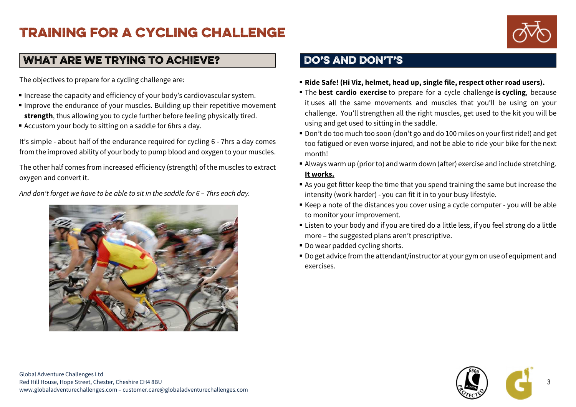

#### What are we trying to achieve?

The objectives to prepare for a cycling challenge are:

- $\blacksquare$  Increase the capacity and efficiency of your body's cardiovascular system.
- Improve the endurance of your muscles. Building up their repetitive movement strength, thus allowing you to cycle further before feeling physically tired.
- Accustom your body to sitting on a saddle for 6hrs a day.

It's simple - about half of the endurance required for cycling 6 - 7hrs a day comes from the improved ability of your body to pump blood and oxygen to your muscles.

The other half comes from increased efficiency (strength) of the muscles to extract oxygen and convert it.

And don't forget we have to be able to sit in the saddle for 6 – 7hrs each day.



#### DO'S AND DON'T'S

- Ride Safe! (Hi Viz, helmet, head up, single file, respect other road users).
- **The best cardio exercise** to prepare for a cycle challenge is cycling, because it uses all the same movements and muscles that you'll be using on your challenge. You'll strengthen all the right muscles, get used to the kit you will be using and get used to sitting in the saddle.
- Don't do too much too soon (don't go and do 100 miles on your first ride!) and get too fatigued or even worse injured, and not be able to ride your bike for the next month!
- Always warm up (prior to) and warm down (after) exercise and include stretching. It works.
- As you get fitter keep the time that you spend training the same but increase the intensity (work harder) - you can fit it in to your busy lifestyle.
- Keep a note of the distances you cover using a cycle computer you will be able to monitor your improvement.
- Listen to your body and if you are tired do a little less, if you feel strong do a little more – the suggested plans aren't prescriptive.
- Do wear padded cycling shorts.
- Do get advice from the attendant/instructor at your gym on use of equipment and exercises.

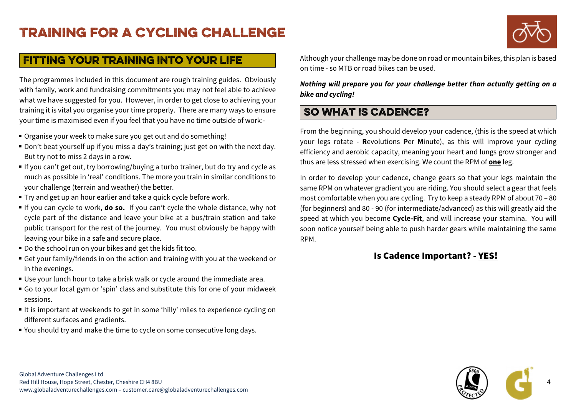

#### Fitting your training into your life

The programmes included in this document are rough training guides. Obviously with family, work and fundraising commitments you may not feel able to achieve what we have suggested for you. However, in order to get close to achieving your training it is vital you organise your time properly. There are many ways to ensure your time is maximised even if you feel that you have no time outside of work:-

- Organise your week to make sure you get out and do something!
- Don't beat yourself up if you miss a day's training; just get on with the next day. But try not to miss 2 days in a row.
- $\blacksquare$  If you can't get out, try borrowing/buying a turbo trainer, but do try and cycle as much as possible in 'real' conditions. The more you train in similar conditions to your challenge (terrain and weather) the better.
- Try and get up an hour earlier and take a quick cycle before work.
- If you can cycle to work, **do so.** If you can't cycle the whole distance, why not cycle part of the distance and leave your bike at a bus/train station and take public transport for the rest of the journey. You must obviously be happy with leaving your bike in a safe and secure place.
- Do the school run on your bikes and get the kids fit too.
- Get your family/friends in on the action and training with you at the weekend or in the evenings.
- Use your lunch hour to take a brisk walk or cycle around the immediate area.
- Go to your local gym or 'spin' class and substitute this for one of your midweek sessions.
- $\blacksquare$  It is important at weekends to get in some 'hilly' miles to experience cycling on different surfaces and gradients.
- You should try and make the time to cycle on some consecutive long days.

Although your challenge may be done on road or mountain bikes, this plan is based on time - so MTB or road bikes can be used.

Nothing will prepare you for your challenge better than actually getting on a bike and cycling!

#### So what is Cadence?

From the beginning, you should develop your cadence, (this is the speed at which your legs rotate - **R**evolutions **P**er **M**inute), as this will improve your cycling efficiency and aerobic capacity, meaning your heart and lungs grow stronger and thus are less stressed when exercising. We count the RPM of one leg.

In order to develop your cadence, change gears so that your legs maintain the same RPM on whatever gradient you are riding. You should select a gear that feels most comfortable when you are cycling. Try to keep a steady RPM of about 70 – 80 (for beginners) and 80 - 90 (for intermediate/advanced) as this will greatly aid the speed at which you become Cycle-Fit, and will increase your stamina. You will soon notice yourself being able to push harder gears while maintaining the same RPM.

#### Is Cadence Important? - YES!

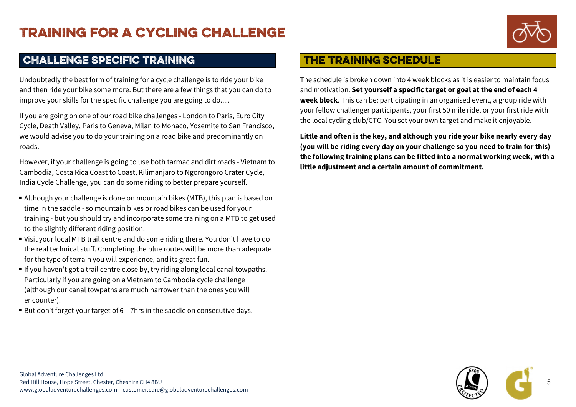

#### Challenge specific training

Undoubtedly the best form of training for a cycle challenge is to ride your bike and then ride your bike some more. But there are a few things that you can do to improve your skills for the specific challenge you are going to do.....

If you are going on one of our road bike challenges - London to Paris, Euro City Cycle, Death Valley, Paris to Geneva, Milan to Monaco, Yosemite to San Francisco, we would advise you to do your training on a road bike and predominantly on roads.

However, if your challenge is going to use both tarmac and dirt roads - Vietnam to Cambodia, Costa Rica Coast to Coast, Kilimanjaro to Ngorongoro Crater Cycle, India Cycle Challenge, you can do some riding to better prepare yourself.

- Although your challenge is done on mountain bikes (MTB), this plan is based on time in the saddle - so mountain bikes or road bikes can be used for your training - but you should try and incorporate some training on a MTB to get used to the slightly different riding position.
- Visit your local MTB trail centre and do some riding there. You don't have to do the real technical stuff. Completing the blue routes will be more than adequate for the type of terrain you will experience, and its great fun.
- $\textcolor{red}{\bullet}$  If you haven't got a trail centre close by, try riding along local canal towpaths. Particularly if you are going on a Vietnam to Cambodia cycle challenge (although our canal towpaths are much narrower than the ones you will encounter).
- $\textcolor{red}{\bullet}$  But don't forget your target of 6 7hrs in the saddle on consecutive days.

#### The training schedule

The schedule is broken down into 4 week blocks as it is easier to maintain focus and motivation. Set yourself a specific target or goal at the end of each 4 week block. This can be: participating in an organised event, a group ride with your fellow challenger participants, your first 50 mile ride, or your first ride with the local cycling club/CTC. You set your own target and make it enjoyable.

Little and often is the key, and although you ride your bike nearly every day (you will be riding every day on your challenge so you need to train for this) the following training plans can be fitted into a normal working week, with a little adjustment and a certain amount of commitment.

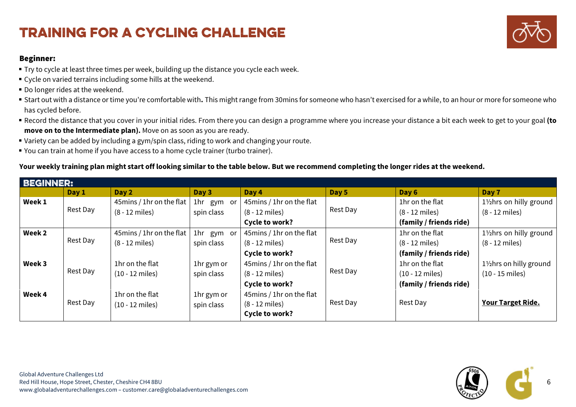#### Beginner:

- Try to cycle at least three times per week, building up the distance you cycle each week.
- Cycle on varied terrains including some hills at the weekend.
- Do longer rides at the weekend.
- $\bullet$  Start out with a distance or time you're comfortable with. This might range from 30mins for someone who hasn't exercised for a while, to an hour or more for someone who has cycled before.
- $\bullet$  Record the distance that you cover in your initial rides. From there you can design a programme where you increase your distance a bit each week to get to your goal **(to** move on to the Intermediate plan). Move on as soon as you are ready.
- Variety can be added by including a gym/spin class, riding to work and changing your route.
- You can train at home if you have access to a home cycle trainer (turbo trainer).

#### Your weekly training plan might start off looking similar to the table below. But we recommend completing the longer rides at the weekend.

| <b>BEGINNER:</b> |          |                           |            |                           |          |                           |                          |
|------------------|----------|---------------------------|------------|---------------------------|----------|---------------------------|--------------------------|
|                  | Day 1    | Day 2                     | Day 3      | Day 4                     | Day 5    | Day 6                     | Day 7                    |
| Week 1           | Rest Day | 45mins / 1hr on the flat  | 1hr gym or | 45mins / 1hr on the flat  |          | 1hr on the flat           | 11/2hrs on hilly ground  |
|                  |          | $(8 - 12$ miles)          | spin class | $(8 - 12$ miles)          | Rest Day | $(8 - 12$ miles)          | $(8 - 12$ miles)         |
|                  |          |                           |            | Cycle to work?            |          | (family / friends ride)   |                          |
| Week 2           |          | 45mins / 1hr on the flat  | 1hr gym or | 45mins / 1hr on the flat  |          | 1hr on the flat           | 11/2hrs on hilly ground  |
|                  | Rest Day | $(8 - 12$ miles)          | spin class | $(8 - 12$ miles)          | Rest Day | $(8 - 12$ miles)          | $(8 - 12$ miles)         |
|                  |          |                           |            | Cycle to work?            |          | (family / friends ride)   |                          |
| Week 3           | Rest Day | 1hr on the flat           | 1hr gym or | 45mins / 1hr on the flat  |          | 1hr on the flat           | 11/2 hrs on hilly ground |
|                  |          | $(10 - 12$ miles)         | spin class | (8 - 12 miles)            | Rest Day | $(10 - 12 \text{ miles})$ | $(10 - 15$ miles)        |
|                  |          |                           |            | Cycle to work?            |          | (family / friends ride)   |                          |
| Week 4           | Rest Day | 1hr on the flat           | 1hr gym or | 45 mins / 1hr on the flat |          |                           |                          |
|                  |          | $(10 - 12 \text{ miles})$ | spin class | $(8 - 12$ miles)          | Rest Day | Rest Day                  | <b>Your Target Ride.</b> |
|                  |          |                           |            | Cycle to work?            |          |                           |                          |



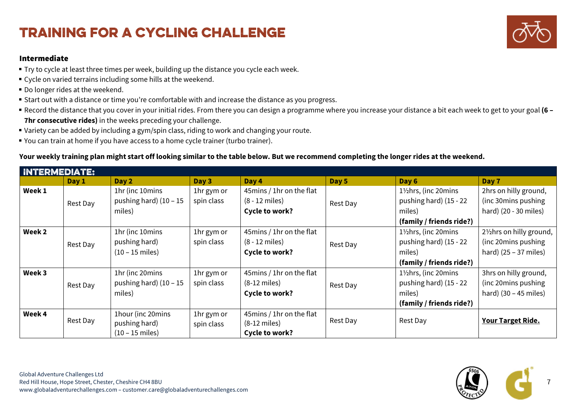#### Intermediate

- Try to cycle at least three times per week, building up the distance you cycle each week.
- Cycle on varied terrains including some hills at the weekend.
- Do longer rides at the weekend.
- $\blacksquare$  Start out with a distance or time you're comfortable with and increase the distance as you progress.
- $\bullet$  Record the distance that you cover in your initial rides. From there you can design a programme where you increase your distance a bit each week to get to your goal **(6** 7hr consecutive rides) in the weeks preceding your challenge.
- Variety can be added by including a gym/spin class, riding to work and changing your route.
- You can train at home if you have access to a home cycle trainer (turbo trainer).

#### Your weekly training plan might start off looking similar to the table below. But we recommend completing the longer rides at the weekend.

| INTERMEDIATE: |          |                           |            |                           |          |                          |                                       |
|---------------|----------|---------------------------|------------|---------------------------|----------|--------------------------|---------------------------------------|
|               | Day 1    | Day 2                     | Day 3      | Day 4                     | Day 5    | Day 6                    | Day 7                                 |
| Week 1        |          | 1hr (inc 10mins           | 1hr gym or | 45mins / 1hr on the flat  |          | 11/2hrs, (inc 20mins     | 2hrs on hilly ground,                 |
|               | Rest Day | pushing hard) $(10 - 15)$ | spin class | $(8 - 12$ miles)          | Rest Day | pushing hard) (15 - 22   | (inc 30 mins pushing)                 |
|               |          | miles)                    |            | Cycle to work?            |          | miles)                   | hard) (20 - 30 miles)                 |
|               |          |                           |            |                           |          | (family / friends ride?) |                                       |
| Week 2        |          | 1hr (inc 10mins           | 1hr gym or | 45 mins / 1hr on the flat | Rest Day | 11/2 hrs, (inc 20 mins   | 21/ <sub>2</sub> hrs on hilly ground, |
|               | Rest Day | pushing hard)             | spin class | $(8 - 12$ miles)          |          | pushing hard) (15 - 22   | (inc 20mins pushing)                  |
|               |          | $(10 - 15$ miles)         |            | Cycle to work?            |          | miles)                   | hard) $(25 - 37$ miles)               |
|               |          |                           |            |                           |          | (family / friends ride?) |                                       |
| Week 3        |          | 1hr (inc 20mins           | 1hr gym or | 45mins / 1hr on the flat  |          | 11/2hrs, (inc 20mins     | 3hrs on hilly ground,                 |
|               | Rest Day | pushing hard) $(10 - 15)$ | spin class | $(8-12$ miles)            | Rest Day | pushing hard) (15 - 22   | (inc 20mins pushing)                  |
|               |          | miles)                    |            | Cycle to work?            |          | miles)                   | hard) $(30 - 45$ miles)               |
|               |          |                           |            |                           |          | (family / friends ride?) |                                       |
| Week 4        | Rest Day | 1hour (inc 20mins         | 1hr gym or | 45mins / 1hr on the flat  |          | Rest Day                 |                                       |
|               |          | pushing hard)             | spin class | $(8-12$ miles)            | Rest Day |                          | <b>Your Target Ride.</b>              |
|               |          | $(10 - 15$ miles)         |            | Cycle to work?            |          |                          |                                       |